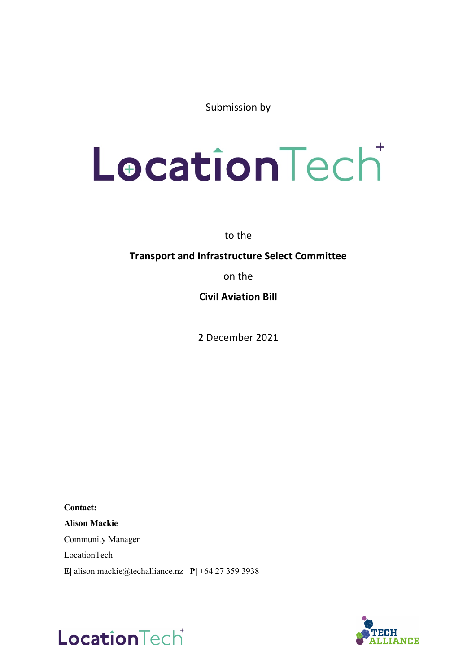Submission by

# LocationTecht

to the

## **Transport and Infrastructure Select Committee**

on the

**Civil Aviation Bill**

2 December 2021

**Contact: Alison Mackie** Community Manager LocationTech **E|** alison.mackie@techalliance.nz **P|** +64 27 359 3938



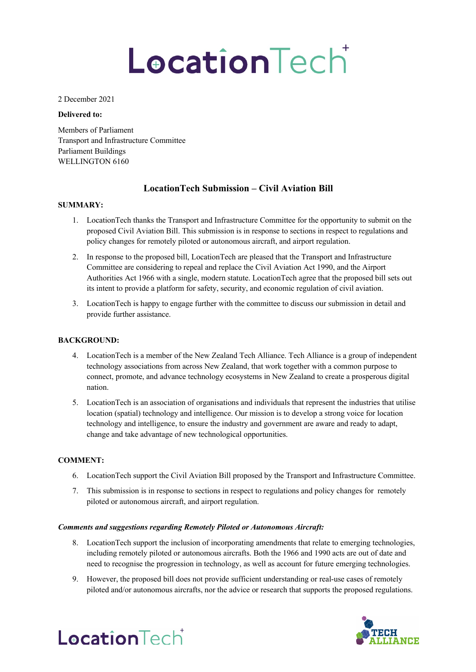# LocationTecht

#### 2 December 2021

#### **Delivered to:**

Members of Parliament Transport and Infrastructure Committee Parliament Buildings WELLINGTON 6160

## **LocationTech Submission – Civil Aviation Bill**

#### **SUMMARY:**

- 1. LocationTech thanks the Transport and Infrastructure Committee for the opportunity to submit on the proposed Civil Aviation Bill. This submission is in response to sections in respect to regulations and policy changes for remotely piloted or autonomous aircraft, and airport regulation.
- 2. In response to the proposed bill, LocationTech are pleased that the Transport and Infrastructure Committee are considering to repeal and replace the Civil Aviation Act 1990, and the Airport Authorities Act 1966 with a single, modern statute. LocationTech agree that the proposed bill sets out its intent to provide a platform for safety, security, and economic regulation of civil aviation.
- 3. LocationTech is happy to engage further with the committee to discuss our submission in detail and provide further assistance.

#### **BACKGROUND:**

- 4. LocationTech is a member of the New Zealand Tech Alliance. Tech Alliance is a group of independent technology associations from across New Zealand, that work together with a common purpose to connect, promote, and advance technology ecosystems in New Zealand to create a prosperous digital nation.
- 5. LocationTech is an association of organisations and individuals that represent the industries that utilise location (spatial) technology and intelligence. Our mission is to develop a strong voice for location technology and intelligence, to ensure the industry and government are aware and ready to adapt, change and take advantage of new technological opportunities.

#### **COMMENT:**

- 6. LocationTech support the Civil Aviation Bill proposed by the Transport and Infrastructure Committee.
- 7. This submission is in response to sections in respect to regulations and policy changes for remotely piloted or autonomous aircraft, and airport regulation.

#### *Comments and suggestions regarding Remotely Piloted or Autonomous Aircraft:*

- 8. LocationTech support the inclusion of incorporating amendments that relate to emerging technologies, including remotely piloted or autonomous aircrafts. Both the 1966 and 1990 acts are out of date and need to recognise the progression in technology, as well as account for future emerging technologies.
- 9. However, the proposed bill does not provide sufficient understanding or real-use cases of remotely piloted and/or autonomous aircrafts, nor the advice or research that supports the proposed regulations.